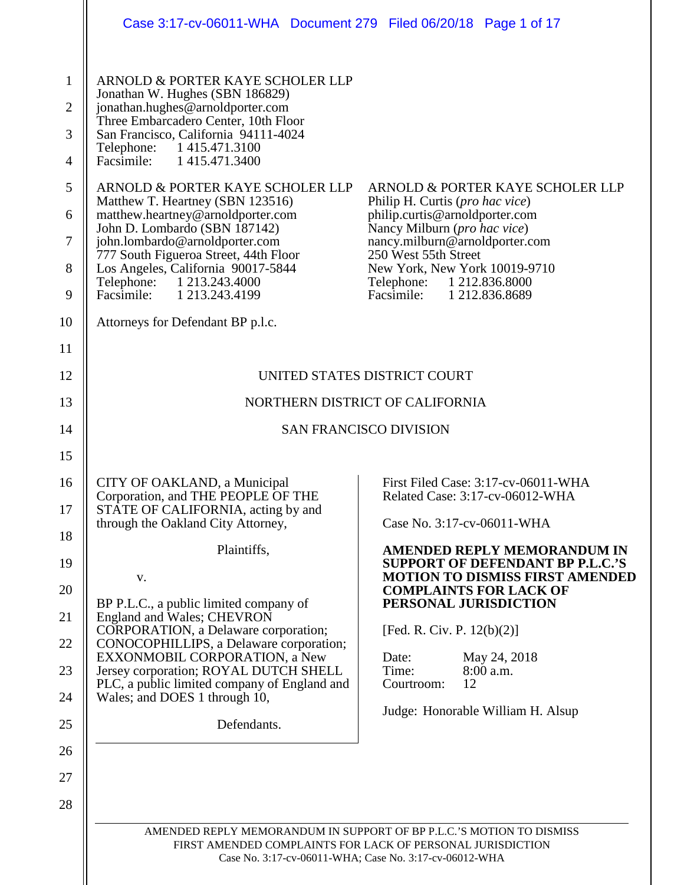|                                                                                                           | Case 3:17-cv-06011-WHA Document 279 Filed 06/20/18 Page 1 of 17                                                                                                                                                                                                                                                                                                                                                                                                                                                                                                                                                 |                                                                                                                                                                                                                                                                                                                                                                                               |
|-----------------------------------------------------------------------------------------------------------|-----------------------------------------------------------------------------------------------------------------------------------------------------------------------------------------------------------------------------------------------------------------------------------------------------------------------------------------------------------------------------------------------------------------------------------------------------------------------------------------------------------------------------------------------------------------------------------------------------------------|-----------------------------------------------------------------------------------------------------------------------------------------------------------------------------------------------------------------------------------------------------------------------------------------------------------------------------------------------------------------------------------------------|
| $\mathbf{1}$<br>$\overline{2}$<br>3<br>$\overline{4}$<br>5<br>6<br>7<br>8<br>$\boldsymbol{9}$<br>10<br>11 | ARNOLD & PORTER KAYE SCHOLER LLP<br>Jonathan W. Hughes (SBN 186829)<br>jonathan.hughes@arnoldporter.com<br>Three Embarcadero Center, 10th Floor<br>San Francisco, California 94111-4024<br>Telephone: 1 415.471.3100<br>Facsimile: 1 415.471.3400<br>ARNOLD & PORTER KAYE SCHOLER LLP<br>Matthew T. Heartney (SBN 123516)<br>matthew.heartney@arnoldporter.com<br>John D. Lombardo (SBN 187142)<br>john.lombardo@arnoldporter.com<br>777 South Figueroa Street, 44th Floor<br>Los Angeles, California 90017-5844<br>Telephone: 1 213.243.4000<br>Facsimile: 1 213.243.4199<br>Attorneys for Defendant BP p.l.c. | ARNOLD & PORTER KAYE SCHOLER LLP<br>Philip H. Curtis (pro hac vice)<br>philip.curtis@arnoldporter.com<br>Nancy Milburn (pro hac vice)<br>nancy.milburn@arnoldporter.com<br>250 West 55th Street<br>New York, New York 10019-9710<br>Telephone: 1 212.836.8000<br>Facsimile:<br>1 212.836.8689                                                                                                 |
| 12                                                                                                        | UNITED STATES DISTRICT COURT                                                                                                                                                                                                                                                                                                                                                                                                                                                                                                                                                                                    |                                                                                                                                                                                                                                                                                                                                                                                               |
| 13                                                                                                        |                                                                                                                                                                                                                                                                                                                                                                                                                                                                                                                                                                                                                 | NORTHERN DISTRICT OF CALIFORNIA                                                                                                                                                                                                                                                                                                                                                               |
| 14                                                                                                        |                                                                                                                                                                                                                                                                                                                                                                                                                                                                                                                                                                                                                 | <b>SAN FRANCISCO DIVISION</b>                                                                                                                                                                                                                                                                                                                                                                 |
| 15                                                                                                        |                                                                                                                                                                                                                                                                                                                                                                                                                                                                                                                                                                                                                 |                                                                                                                                                                                                                                                                                                                                                                                               |
| 16<br>17<br>18<br>19<br>20<br>21<br>22<br>23<br>24                                                        | CITY OF OAKLAND, a Municipal<br>Corporation, and THE PEOPLE OF THE<br>STATE OF CALIFORNIA, acting by and<br>through the Oakland City Attorney,<br>Plaintiffs,<br>V.<br>BP P.L.C., a public limited company of<br>England and Wales; CHEVRON<br>CORPORATION, a Delaware corporation;<br>CONOCOPHILLIPS, a Delaware corporation;<br>EXXONMOBIL CORPORATION, a New<br>Jersey corporation; ROYAL DUTCH SHELL<br>PLC, a public limited company of England and<br>Wales; and DOES 1 through 10,                                                                                                                       | First Filed Case: 3:17-cv-06011-WHA<br>Related Case: 3:17-cv-06012-WHA<br>Case No. 3:17-cv-06011-WHA<br><b>AMENDED REPLY MEMORANDUM IN</b><br><b>SUPPORT OF DEFENDANT BP P.L.C.'S</b><br><b>MOTION TO DISMISS FIRST AMENDED</b><br><b>COMPLAINTS FOR LACK OF</b><br>PERSONAL JURISDICTION<br>[Fed. R. Civ. P. $12(b)(2)$ ]<br>Date:<br>May 24, 2018<br>Time:<br>8:00 a.m.<br>12<br>Courtroom: |
| 25<br>26<br>27<br>28                                                                                      | Defendants.                                                                                                                                                                                                                                                                                                                                                                                                                                                                                                                                                                                                     | Judge: Honorable William H. Alsup<br>AMENDED REPLY MEMORANDUM IN SUPPORT OF BP P.L.C.'S MOTION TO DISMISS<br>FIRST AMENDED COMPLAINTS FOR LACK OF PERSONAL JURISDICTION<br>Case No. 3:17-cv-06011-WHA; Case No. 3:17-cv-06012-WHA                                                                                                                                                             |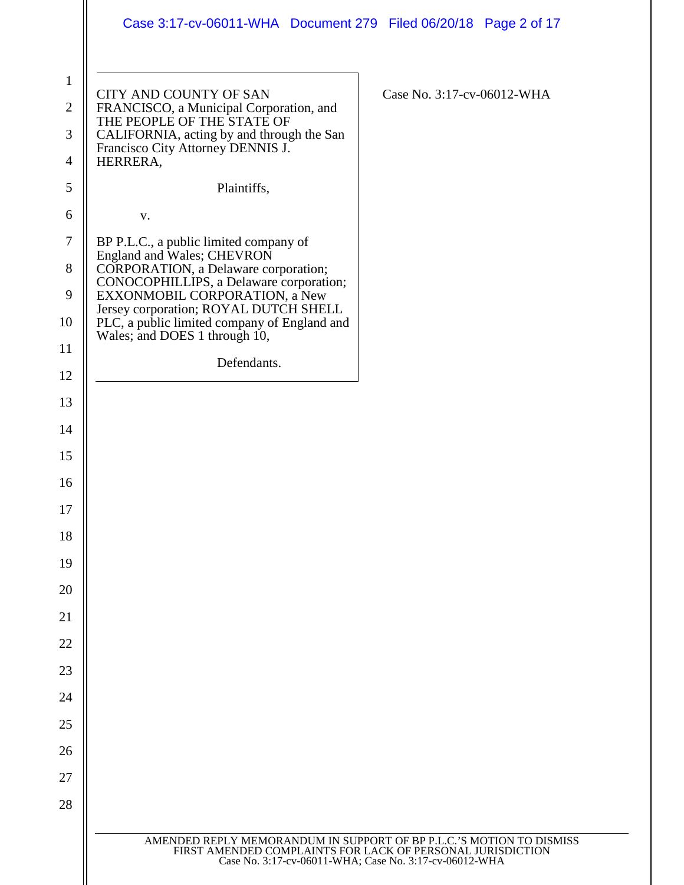|                                     | Case 3:17-cv-06011-WHA  Document 279  Filed 06/20/18  Page 2 of 17                                                                                                                |                                                                                                                                                                                              |
|-------------------------------------|-----------------------------------------------------------------------------------------------------------------------------------------------------------------------------------|----------------------------------------------------------------------------------------------------------------------------------------------------------------------------------------------|
| $\mathbf{1}$<br>$\overline{2}$<br>3 | CITY AND COUNTY OF SAN<br>FRANCISCO, a Municipal Corporation, and<br>THE PEOPLE OF THE STATE OF<br>CALIFORNIA, acting by and through the San<br>Francisco City Attorney DENNIS J. | Case No. 3:17-cv-06012-WHA                                                                                                                                                                   |
| 4                                   | HERRERA,                                                                                                                                                                          |                                                                                                                                                                                              |
| 5                                   | Plaintiffs,                                                                                                                                                                       |                                                                                                                                                                                              |
| 6<br>$\tau$                         | V.                                                                                                                                                                                |                                                                                                                                                                                              |
| 8                                   | BP P.L.C., a public limited company of<br>England and Wales; CHEVRON                                                                                                              |                                                                                                                                                                                              |
| 9                                   | CORPORATION, a Delaware corporation;<br>CONOCOPHILLIPS, a Delaware corporation;<br>EXXONMOBIL CORPORATION, a New                                                                  |                                                                                                                                                                                              |
| 10                                  | Jersey corporation; ROYAL DUTCH SHELL<br>PLC, a public limited company of England and                                                                                             |                                                                                                                                                                                              |
| 11                                  | Wales; and DOES 1 through 10,                                                                                                                                                     |                                                                                                                                                                                              |
| 12                                  | Defendants.                                                                                                                                                                       |                                                                                                                                                                                              |
| 13                                  |                                                                                                                                                                                   |                                                                                                                                                                                              |
| 14                                  |                                                                                                                                                                                   |                                                                                                                                                                                              |
| 15                                  |                                                                                                                                                                                   |                                                                                                                                                                                              |
| 16                                  |                                                                                                                                                                                   |                                                                                                                                                                                              |
| 17                                  |                                                                                                                                                                                   |                                                                                                                                                                                              |
| 18                                  |                                                                                                                                                                                   |                                                                                                                                                                                              |
| 19                                  |                                                                                                                                                                                   |                                                                                                                                                                                              |
| 20                                  |                                                                                                                                                                                   |                                                                                                                                                                                              |
| 21                                  |                                                                                                                                                                                   |                                                                                                                                                                                              |
| 22                                  |                                                                                                                                                                                   |                                                                                                                                                                                              |
| 23                                  |                                                                                                                                                                                   |                                                                                                                                                                                              |
| 24<br>25                            |                                                                                                                                                                                   |                                                                                                                                                                                              |
| 26                                  |                                                                                                                                                                                   |                                                                                                                                                                                              |
| 27                                  |                                                                                                                                                                                   |                                                                                                                                                                                              |
| 28                                  |                                                                                                                                                                                   |                                                                                                                                                                                              |
|                                     |                                                                                                                                                                                   |                                                                                                                                                                                              |
|                                     |                                                                                                                                                                                   | AMENDED REPLY MEMORANDUM IN SUPPORT OF BP P.L.C.'S MOTION TO DISMISS<br>FIRST AMENDED COMPLAINTS FOR LACK OF PERSONAL JURISDICTION<br>Case No. 3:17-cv-06011-WHA; Case No. 3:17-cv-06012-WHA |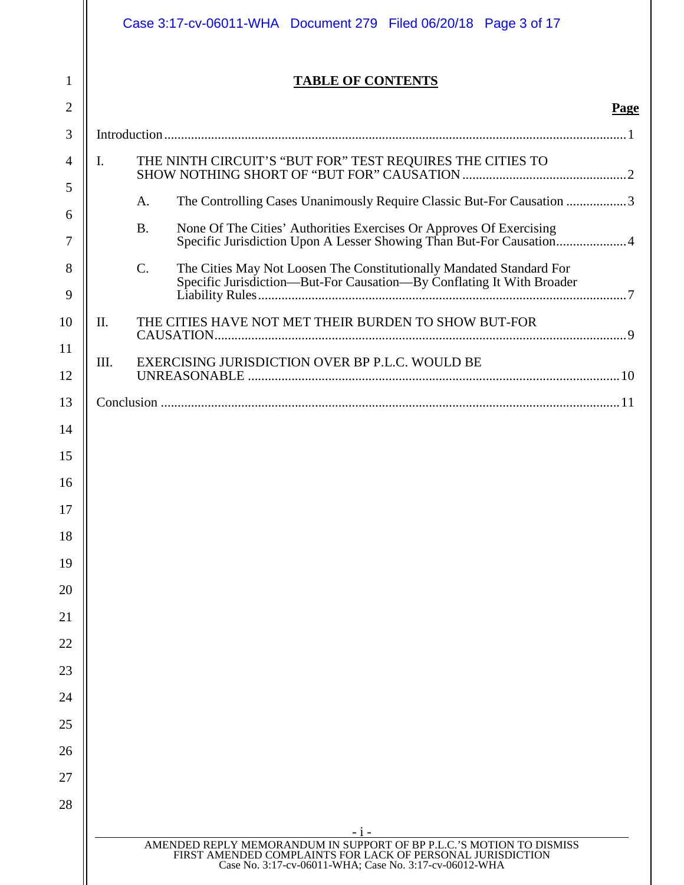|                | Case 3:17-cv-06011-WHA  Document 279  Filed 06/20/18  Page 3 of 17 |                                                                                                                                                                                              |  |
|----------------|--------------------------------------------------------------------|----------------------------------------------------------------------------------------------------------------------------------------------------------------------------------------------|--|
| 1              | <b>TABLE OF CONTENTS</b>                                           |                                                                                                                                                                                              |  |
| 2              |                                                                    | <b>Page</b>                                                                                                                                                                                  |  |
| 3              |                                                                    |                                                                                                                                                                                              |  |
| $\overline{4}$ | I.<br>THE NINTH CIRCUIT'S "BUT FOR" TEST REQUIRES THE CITIES TO    |                                                                                                                                                                                              |  |
| 5              | A.                                                                 | The Controlling Cases Unanimously Require Classic But-For Causation 3                                                                                                                        |  |
| 6              | <b>B.</b>                                                          | None Of The Cities' Authorities Exercises Or Approves Of Exercising                                                                                                                          |  |
| 7              |                                                                    | Specific Jurisdiction Upon A Lesser Showing Than But-For Causation 4                                                                                                                         |  |
| 8<br>9         | $\mathcal{C}$ .                                                    | The Cities May Not Loosen The Constitutionally Mandated Standard For<br>Specific Jurisdiction-But-For Causation-By Conflating It With Broader                                                |  |
| 10             | THE CITIES HAVE NOT MET THEIR BURDEN TO SHOW BUT-FOR<br>II.        |                                                                                                                                                                                              |  |
| 11             | EXERCISING JURISDICTION OVER BP P.L.C. WOULD BE<br>III.            |                                                                                                                                                                                              |  |
| 12             |                                                                    |                                                                                                                                                                                              |  |
| 13             |                                                                    |                                                                                                                                                                                              |  |
| 14             |                                                                    |                                                                                                                                                                                              |  |
| 15             |                                                                    |                                                                                                                                                                                              |  |
| 16             |                                                                    |                                                                                                                                                                                              |  |
| 17             |                                                                    |                                                                                                                                                                                              |  |
| 18             |                                                                    |                                                                                                                                                                                              |  |
| 19             |                                                                    |                                                                                                                                                                                              |  |
| 20             |                                                                    |                                                                                                                                                                                              |  |
| 21<br>22       |                                                                    |                                                                                                                                                                                              |  |
| 23             |                                                                    |                                                                                                                                                                                              |  |
| 24             |                                                                    |                                                                                                                                                                                              |  |
| 25             |                                                                    |                                                                                                                                                                                              |  |
| 26             |                                                                    |                                                                                                                                                                                              |  |
| 27             |                                                                    |                                                                                                                                                                                              |  |
| 28             |                                                                    |                                                                                                                                                                                              |  |
|                |                                                                    | $-1 -$                                                                                                                                                                                       |  |
|                |                                                                    | AMENDED REPLY MEMORANDUM IN SUPPORT OF BP P.L.C.'S MOTION TO DISMISS<br>FIRST AMENDED COMPLAINTS FOR LACK OF PERSONAL JURISDICTION<br>Case No. 3:17-cv-06011-WHA; Case No. 3:17-cv-06012-WHA |  |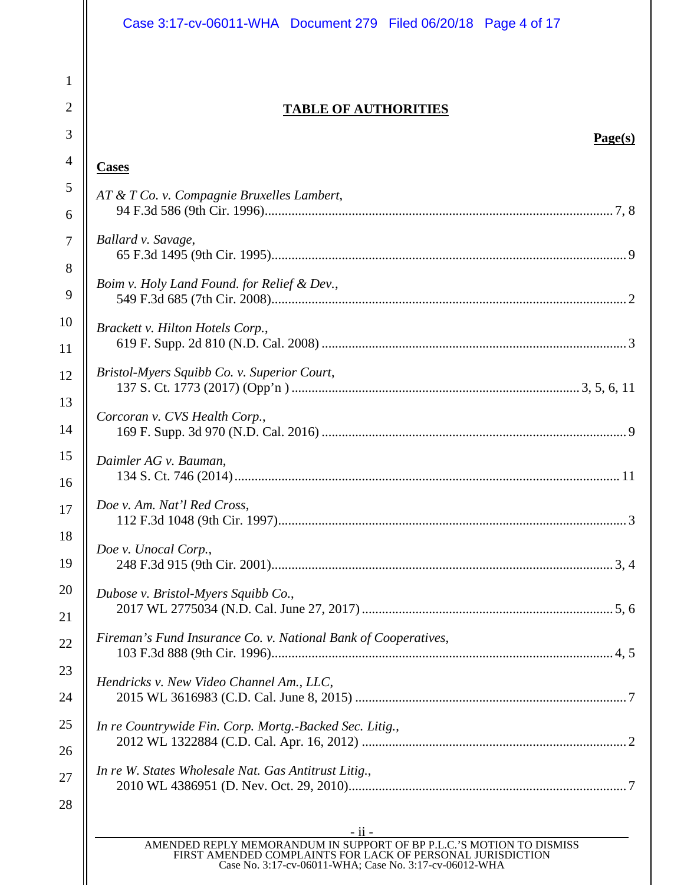|                | Case 3:17-cv-06011-WHA Document 279 Filed 06/20/18 Page 4 of 17                                                      |  |  |
|----------------|----------------------------------------------------------------------------------------------------------------------|--|--|
| $\mathbf{1}$   |                                                                                                                      |  |  |
| $\overline{2}$ | <b>TABLE OF AUTHORITIES</b>                                                                                          |  |  |
| 3              | Page(s)                                                                                                              |  |  |
| $\overline{4}$ | <b>Cases</b>                                                                                                         |  |  |
| $\mathfrak{S}$ | AT & T Co. v. Compagnie Bruxelles Lambert,                                                                           |  |  |
| 6              |                                                                                                                      |  |  |
| 7              | Ballard v. Savage,                                                                                                   |  |  |
| 8              |                                                                                                                      |  |  |
| 9              | Boim v. Holy Land Found. for Relief & Dev.,                                                                          |  |  |
| 10             | Brackett v. Hilton Hotels Corp.,                                                                                     |  |  |
| 11             |                                                                                                                      |  |  |
| 12             | Bristol-Myers Squibb Co. v. Superior Court,                                                                          |  |  |
| 13             | Corcoran v. CVS Health Corp.,                                                                                        |  |  |
| 14             |                                                                                                                      |  |  |
| 15<br>16       | Daimler AG v. Bauman,                                                                                                |  |  |
| 17             | Doe v. Am. Nat'l Red Cross,                                                                                          |  |  |
| 18             |                                                                                                                      |  |  |
| 19             | Doe v. Unocal Corp.,                                                                                                 |  |  |
| 20             | Dubose v. Bristol-Myers Squibb Co.,                                                                                  |  |  |
| 21             |                                                                                                                      |  |  |
| 22             | Fireman's Fund Insurance Co. v. National Bank of Cooperatives,                                                       |  |  |
| 23             | Hendricks v. New Video Channel Am., LLC,                                                                             |  |  |
| 24             |                                                                                                                      |  |  |
| 25             | In re Countrywide Fin. Corp. Mortg.-Backed Sec. Litig.,                                                              |  |  |
| 26             |                                                                                                                      |  |  |
| 27             | In re W. States Wholesale Nat. Gas Antitrust Litig.,                                                                 |  |  |
| 28             |                                                                                                                      |  |  |
|                | - ii -<br>AMENDED REPLY MEMORANDUM IN SUPPORT OF BP P.L.C.'S MOTION TO DISMISS                                       |  |  |
|                | FIRST AMENDED COMPLAINTS FOR LACK OF PERSONAL JURISDICTION<br>Case No. 3:17-cv-06011-WHA; Case No. 3:17-cv-06012-WHA |  |  |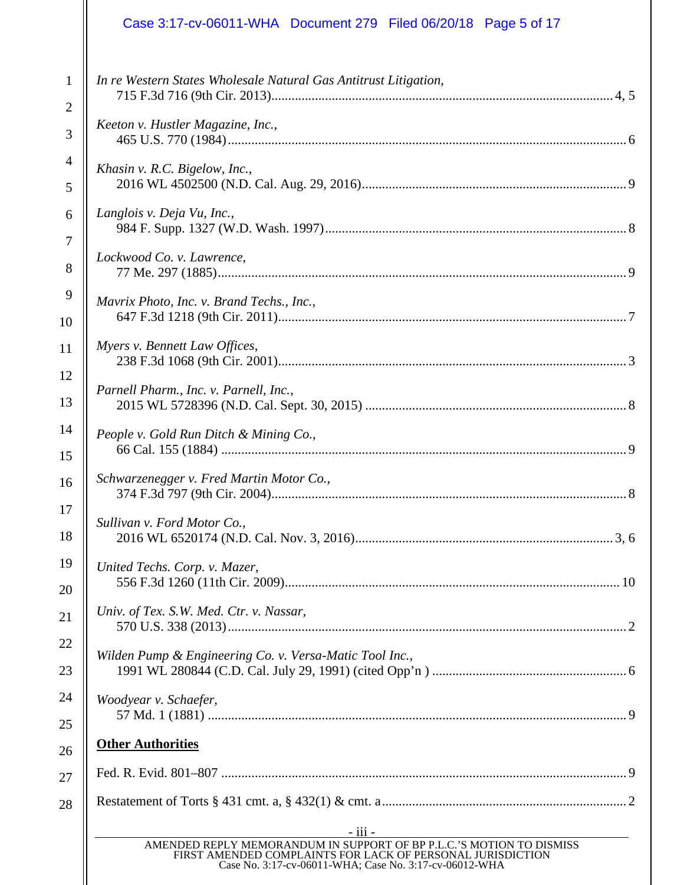# Case 3:17-cv-06011-WHA Document 279 Filed 06/20/18 Page 5 of 17

| 1              | In re Western States Wholesale Natural Gas Antitrust Litigation,                                                                                                                             |  |  |
|----------------|----------------------------------------------------------------------------------------------------------------------------------------------------------------------------------------------|--|--|
| $\overline{2}$ |                                                                                                                                                                                              |  |  |
| 3              | Keeton v. Hustler Magazine, Inc.,                                                                                                                                                            |  |  |
| $\overline{4}$ | Khasin v. R.C. Bigelow, Inc.,                                                                                                                                                                |  |  |
| 5              |                                                                                                                                                                                              |  |  |
| 6              | Langlois v. Deja Vu, Inc.,                                                                                                                                                                   |  |  |
| $\overline{7}$ |                                                                                                                                                                                              |  |  |
| 8              | Lockwood Co. v. Lawrence,                                                                                                                                                                    |  |  |
| 9              | Mavrix Photo, Inc. v. Brand Techs., Inc.,                                                                                                                                                    |  |  |
| 10             |                                                                                                                                                                                              |  |  |
| 11             | Myers v. Bennett Law Offices,                                                                                                                                                                |  |  |
| 12             |                                                                                                                                                                                              |  |  |
| 13             | Parnell Pharm., Inc. v. Parnell, Inc.,                                                                                                                                                       |  |  |
| 14             | People v. Gold Run Ditch & Mining Co.,                                                                                                                                                       |  |  |
| 15             |                                                                                                                                                                                              |  |  |
| 16             | Schwarzenegger v. Fred Martin Motor Co.,                                                                                                                                                     |  |  |
| 17             |                                                                                                                                                                                              |  |  |
| 18             | Sullivan v. Ford Motor Co.,                                                                                                                                                                  |  |  |
| 19             | United Techs. Corp. v. Mazer,                                                                                                                                                                |  |  |
| 20             |                                                                                                                                                                                              |  |  |
| 21             | Univ. of Tex. S.W. Med. Ctr. v. Nassar,                                                                                                                                                      |  |  |
| 22             | Wilden Pump & Engineering Co. v. Versa-Matic Tool Inc.,                                                                                                                                      |  |  |
| 23             |                                                                                                                                                                                              |  |  |
| 24             | Woodyear v. Schaefer,                                                                                                                                                                        |  |  |
| 25             |                                                                                                                                                                                              |  |  |
| 26             | <b>Other Authorities</b>                                                                                                                                                                     |  |  |
| 27             |                                                                                                                                                                                              |  |  |
| 28             |                                                                                                                                                                                              |  |  |
|                | <u>- iii - </u>                                                                                                                                                                              |  |  |
|                | AMENDED REPLY MEMORANDUM IN SUPPORT OF BP P.L.C.'S MOTION TO DISMISS<br>FIRST AMENDED COMPLAINTS FOR LACK OF PERSONAL JURISDICTION<br>Case No. 3:17-cv-06011-WHA; Case No. 3:17-cv-06012-WHA |  |  |
|                |                                                                                                                                                                                              |  |  |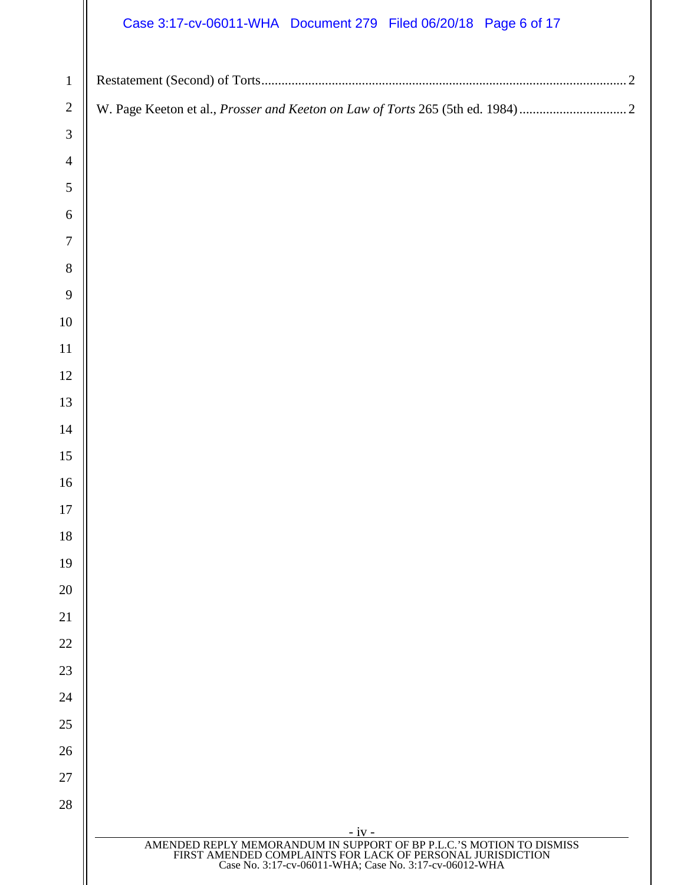## Case 3:17-cv-06011-WHA Document 279 Filed 06/20/18 Page 6 of 17

| $\mathbf{1}$   |                                                                                                                                                                                              |
|----------------|----------------------------------------------------------------------------------------------------------------------------------------------------------------------------------------------|
| $\sqrt{2}$     |                                                                                                                                                                                              |
| $\mathfrak 3$  |                                                                                                                                                                                              |
| $\overline{4}$ |                                                                                                                                                                                              |
| $\mathfrak{S}$ |                                                                                                                                                                                              |
| 6              |                                                                                                                                                                                              |
| $\tau$         |                                                                                                                                                                                              |
| $8\,$          |                                                                                                                                                                                              |
| 9              |                                                                                                                                                                                              |
| $10\,$         |                                                                                                                                                                                              |
| 11             |                                                                                                                                                                                              |
| 12             |                                                                                                                                                                                              |
| 13             |                                                                                                                                                                                              |
| 14             |                                                                                                                                                                                              |
| 15             |                                                                                                                                                                                              |
| 16             |                                                                                                                                                                                              |
| $17\,$         |                                                                                                                                                                                              |
| 18             |                                                                                                                                                                                              |
| 19             |                                                                                                                                                                                              |
| 20<br>21       |                                                                                                                                                                                              |
| 22             |                                                                                                                                                                                              |
| 23             |                                                                                                                                                                                              |
| 24             |                                                                                                                                                                                              |
| 25             |                                                                                                                                                                                              |
| 26             |                                                                                                                                                                                              |
| 27             |                                                                                                                                                                                              |
| 28             |                                                                                                                                                                                              |
|                | $-iv -$                                                                                                                                                                                      |
|                | AMENDED REPLY MEMORANDUM IN SUPPORT OF BP P.L.C.'S MOTION TO DISMISS<br>FIRST AMENDED COMPLAINTS FOR LACK OF PERSONAL JURISDICTION<br>Case No. 3:17-cv-06011-WHA; Case No. 3:17-cv-06012-WHA |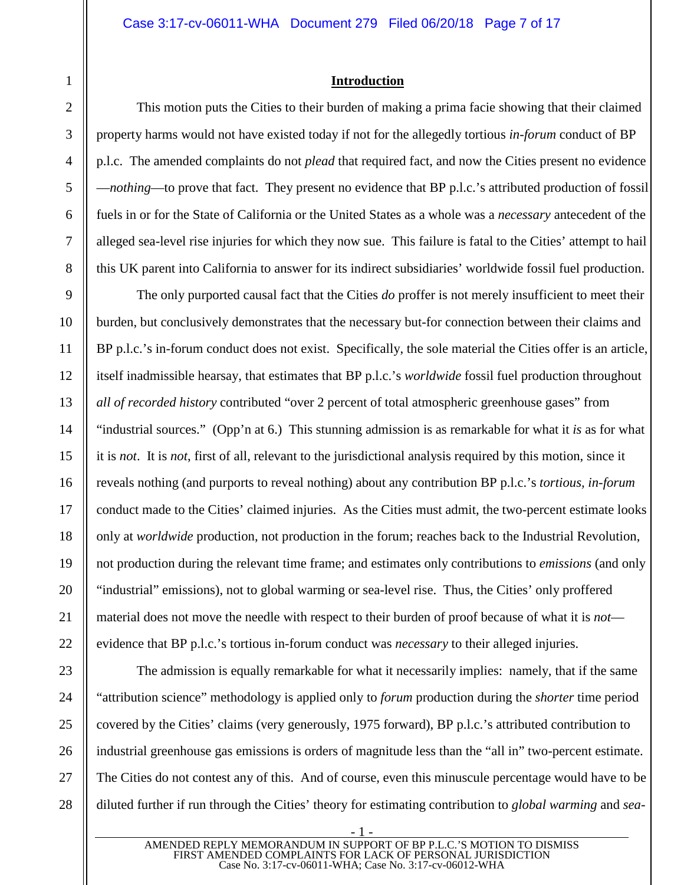#### <span id="page-6-0"></span>**Introduction**

This motion puts the Cities to their burden of making a prima facie showing that their claimed property harms would not have existed today if not for the allegedly tortious *in-forum* conduct of BP p.l.c. The amended complaints do not *plead* that required fact, and now the Cities present no evidence —*nothing*—to prove that fact. They present no evidence that BP p.l.c.'s attributed production of fossil fuels in or for the State of California or the United States as a whole was a *necessary* antecedent of the alleged sea-level rise injuries for which they now sue. This failure is fatal to the Cities' attempt to hail this UK parent into California to answer for its indirect subsidiaries' worldwide fossil fuel production.

The only purported causal fact that the Cities *do* proffer is not merely insufficient to meet their burden, but conclusively demonstrates that the necessary but-for connection between their claims and BP p.l.c.'s in-forum conduct does not exist. Specifically, the sole material the Cities offer is an article, itself inadmissible hearsay, that estimates that BP p.l.c.'s *worldwide* fossil fuel production throughout *all of recorded history* contributed "over 2 percent of total atmospheric greenhouse gases" from "industrial sources." (Opp'n at 6.) This stunning admission is as remarkable for what it *is* as for what it is *not*. It is *not*, first of all, relevant to the jurisdictional analysis required by this motion, since it reveals nothing (and purports to reveal nothing) about any contribution BP p.l.c.'s *tortious, in-forum* conduct made to the Cities' claimed injuries. As the Cities must admit, the two-percent estimate looks only at *worldwide* production, not production in the forum; reaches back to the Industrial Revolution, not production during the relevant time frame; and estimates only contributions to *emissions* (and only "industrial" emissions), not to global warming or sea-level rise. Thus, the Cities' only proffered material does not move the needle with respect to their burden of proof because of what it is *not* evidence that BP p.l.c.'s tortious in-forum conduct was *necessary* to their alleged injuries.

The admission is equally remarkable for what it necessarily implies: namely, that if the same "attribution science" methodology is applied only to *forum* production during the *shorter* time period covered by the Cities' claims (very generously, 1975 forward), BP p.l.c.'s attributed contribution to industrial greenhouse gas emissions is orders of magnitude less than the "all in" two-percent estimate. The Cities do not contest any of this. And of course, even this minuscule percentage would have to be diluted further if run through the Cities' theory for estimating contribution to *global warming* and *sea-*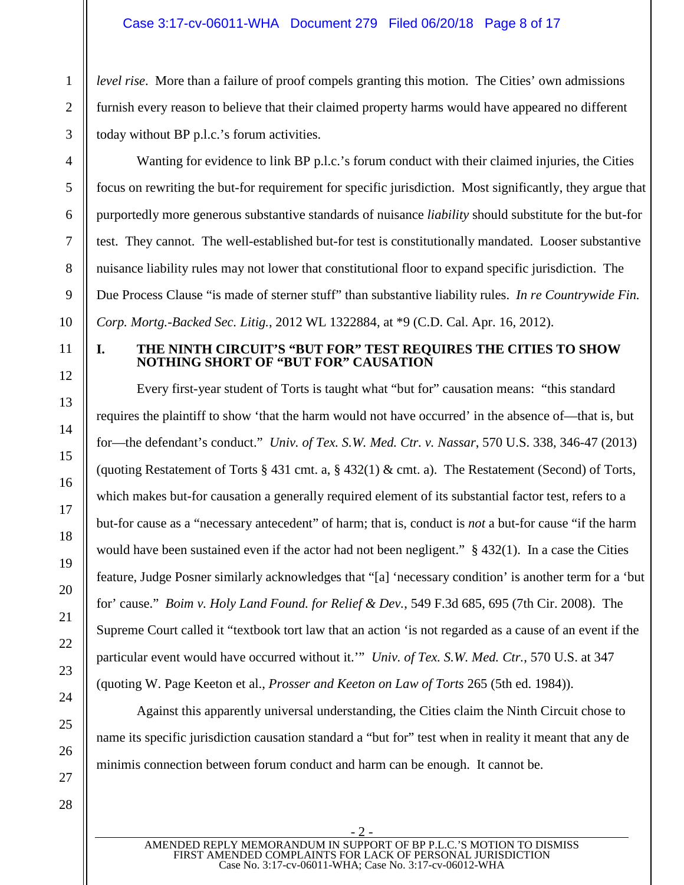#### Case 3:17-cv-06011-WHA Document 279 Filed 06/20/18 Page 8 of 17

*level rise.* More than a failure of proof compels granting this motion. The Cities' own admissions furnish every reason to believe that their claimed property harms would have appeared no different today without BP p.l.c.'s forum activities.

Wanting for evidence to link BP p.l.c.'s forum conduct with their claimed injuries, the Cities focus on rewriting the but-for requirement for specific jurisdiction. Most significantly, they argue that purportedly more generous substantive standards of nuisance *liability* should substitute for the but-for test. They cannot. The well-established but-for test is constitutionally mandated. Looser substantive nuisance liability rules may not lower that constitutional floor to expand specific jurisdiction. The Due Process Clause "is made of sterner stuff" than substantive liability rules. *In re Countrywide Fin. Corp. Mortg.-Backed Sec. Litig.*, 2012 WL 1322884, at \*9 (C.D. Cal. Apr. 16, 2012).

#### <span id="page-7-2"></span><span id="page-7-0"></span>**I. THE NINTH CIRCUIT'S "BUT FOR" TEST REQUIRES THE CITIES TO SHOW NOTHING SHORT OF "BUT FOR" CAUSATION**

<span id="page-7-5"></span><span id="page-7-4"></span><span id="page-7-3"></span>Every first-year student of Torts is taught what "but for" causation means: "this standard requires the plaintiff to show 'that the harm would not have occurred' in the absence of—that is, but for—the defendant's conduct." *Univ. of Tex. S.W. Med. Ctr. v. Nassar*, 570 U.S. 338, 346-47 (2013) (quoting Restatement of Torts § 431 cmt. a, § 432(1) & cmt. a). The Restatement (Second) of Torts, which makes but-for causation a generally required element of its substantial factor test, refers to a but-for cause as a "necessary antecedent" of harm; that is, conduct is *not* a but-for cause "if the harm would have been sustained even if the actor had not been negligent." § 432(1). In a case the Cities feature, Judge Posner similarly acknowledges that "[a] 'necessary condition' is another term for a 'but for' cause." *Boim v. Holy Land Found. for Relief & Dev.*, 549 F.3d 685, 695 (7th Cir. 2008). The Supreme Court called it "textbook tort law that an action 'is not regarded as a cause of an event if the particular event would have occurred without it.'" *Univ. of Tex. S.W. Med. Ctr.*, 570 U.S. at 347 (quoting W. Page Keeton et al., *Prosser and Keeton on Law of Torts* 265 (5th ed. 1984)).

<span id="page-7-6"></span><span id="page-7-1"></span>Against this apparently universal understanding, the Cities claim the Ninth Circuit chose to name its specific jurisdiction causation standard a "but for" test when in reality it meant that any de minimis connection between forum conduct and harm can be enough. It cannot be.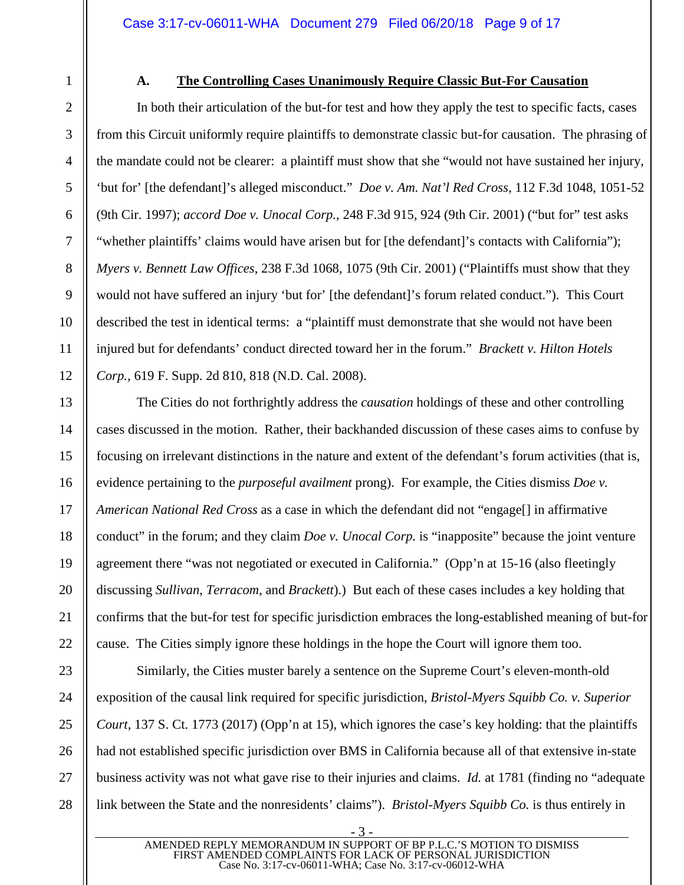#### <span id="page-8-4"></span><span id="page-8-3"></span><span id="page-8-0"></span>**A. The Controlling Cases Unanimously Require Classic But-For Causation**

In both their articulation of the but-for test and how they apply the test to specific facts, cases from this Circuit uniformly require plaintiffs to demonstrate classic but-for causation. The phrasing of the mandate could not be clearer: a plaintiff must show that she "would not have sustained her injury, 'but for' [the defendant]'s alleged misconduct." *Doe v. Am. Nat'l Red Cross*, 112 F.3d 1048, 1051-52 (9th Cir. 1997); *accord Doe v. Unocal Corp.*, 248 F.3d 915, 924 (9th Cir. 2001) ("but for" test asks "whether plaintiffs' claims would have arisen but for [the defendant]'s contacts with California"); *Myers v. Bennett Law Offices*, 238 F.3d 1068, 1075 (9th Cir. 2001) ("Plaintiffs must show that they would not have suffered an injury 'but for' [the defendant]'s forum related conduct."). This Court described the test in identical terms: a "plaintiff must demonstrate that she would not have been injured but for defendants' conduct directed toward her in the forum." *Brackett v. Hilton Hotels Corp.*, 619 F. Supp. 2d 810, 818 (N.D. Cal. 2008).

<span id="page-8-5"></span><span id="page-8-1"></span>The Cities do not forthrightly address the *causation* holdings of these and other controlling cases discussed in the motion. Rather, their backhanded discussion of these cases aims to confuse by focusing on irrelevant distinctions in the nature and extent of the defendant's forum activities (that is, evidence pertaining to the *purposeful availment* prong). For example, the Cities dismiss *Doe v. American National Red Cross* as a case in which the defendant did not "engage[] in affirmative conduct" in the forum; and they claim *Doe v. Unocal Corp.* is "inapposite" because the joint venture agreement there "was not negotiated or executed in California." (Opp'n at 15-16 (also fleetingly discussing *Sullivan*, *Terracom*, and *Brackett*).) But each of these cases includes a key holding that confirms that the but-for test for specific jurisdiction embraces the long-established meaning of but-for cause. The Cities simply ignore these holdings in the hope the Court will ignore them too.

<span id="page-8-6"></span>Similarly, the Cities muster barely a sentence on the Supreme Court's eleven-month-old exposition of the causal link required for specific jurisdiction, *Bristol-Myers Squibb Co. v. Superior Court*, 137 S. Ct. 1773 (2017) (Opp'n at 15), which ignores the case's key holding: that the plaintiffs had not established specific jurisdiction over BMS in California because all of that extensive in-state business activity was not what gave rise to their injuries and claims. *Id.* at 1781 (finding no "adequate link between the State and the nonresidents' claims"). *Bristol-Myers Squibb Co.* is thus entirely in

1

<span id="page-8-2"></span>- 3 -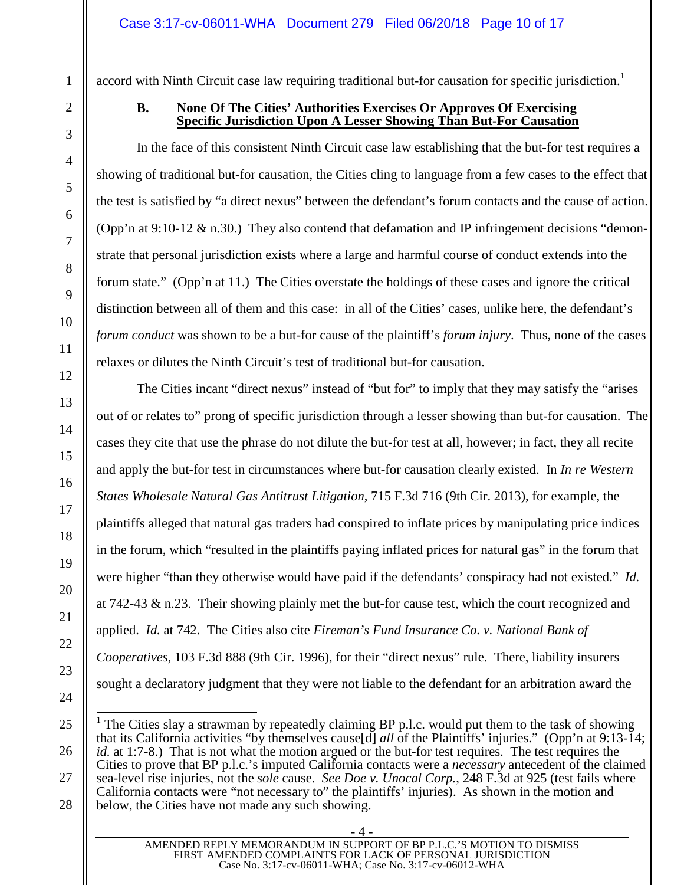accord with Ninth Circuit case law requiring traditional but-for causation for specific jurisdiction.<sup>[1](#page-9-4)</sup>

#### <span id="page-9-0"></span>**B. None Of The Cities' Authorities Exercises Or Approves Of Exercising Specific Jurisdiction Upon A Lesser Showing Than But-For Causation**

In the face of this consistent Ninth Circuit case law establishing that the but-for test requires a showing of traditional but-for causation, the Cities cling to language from a few cases to the effect that the test is satisfied by "a direct nexus" between the defendant's forum contacts and the cause of action. (Opp'n at 9:10-12  $\&$  n.30.) They also contend that defamation and IP infringement decisions "demonstrate that personal jurisdiction exists where a large and harmful course of conduct extends into the forum state." (Opp'n at 11.) The Cities overstate the holdings of these cases and ignore the critical distinction between all of them and this case: in all of the Cities' cases, unlike here, the defendant's *forum conduct* was shown to be a but-for cause of the plaintiff's *forum injury*. Thus, none of the cases relaxes or dilutes the Ninth Circuit's test of traditional but-for causation.

<span id="page-9-3"></span>The Cities incant "direct nexus" instead of "but for" to imply that they may satisfy the "arises out of or relates to" prong of specific jurisdiction through a lesser showing than but-for causation. The cases they cite that use the phrase do not dilute the but-for test at all, however; in fact, they all recite and apply the but-for test in circumstances where but-for causation clearly existed. In *In re Western States Wholesale Natural Gas Antitrust Litigation*, 715 F.3d 716 (9th Cir. 2013), for example, the plaintiffs alleged that natural gas traders had conspired to inflate prices by manipulating price indices in the forum, which "resulted in the plaintiffs paying inflated prices for natural gas" in the forum that were higher "than they otherwise would have paid if the defendants' conspiracy had not existed." *Id.* at 742-43  $\&$  n.23. Their showing plainly met the but-for cause test, which the court recognized and applied. *Id.* at 742. The Cities also cite *Fireman's Fund Insurance Co. v. National Bank of Cooperatives*, 103 F.3d 888 (9th Cir. 1996), for their "direct nexus" rule. There, liability insurers sought a declaratory judgment that they were not liable to the defendant for an arbitration award the

<span id="page-9-4"></span><span id="page-9-2"></span><span id="page-9-1"></span><sup>&</sup>lt;sup>1</sup> The Cities slay a strawman by repeatedly claiming BP p.l.c. would put them to the task of showing that its California activities "by themselves cause[d] *all* of the Plaintiffs' injuries." (Opp'n at 9:13-14; *id.* at 1:7-8.) That is not what the motion argued or the but-for test requires. The test requires the Cities to prove that BP p.l.c.'s imputed California contacts were a *necessary* antecedent of the claimed sea-level rise injuries, not the *sole* cause. *See Doe v. Unocal Corp.*, 248 F.3d at 925 (test fails where California contacts were "not necessary to" the plaintiffs' injuries). As shown in the motion and below, the Cities have not made any such showing.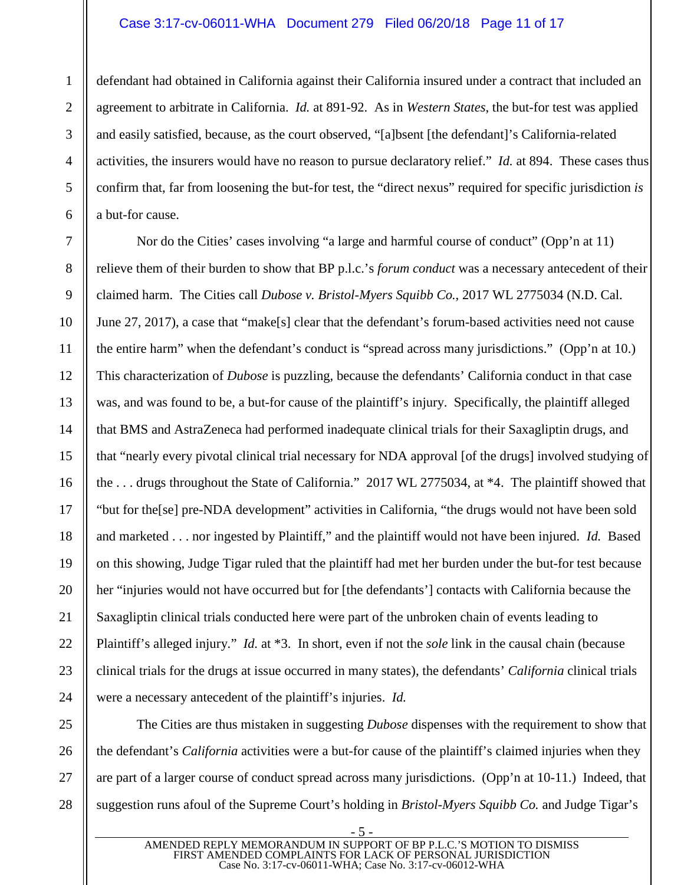#### <span id="page-10-3"></span><span id="page-10-2"></span>Case 3:17-cv-06011-WHA Document 279 Filed 06/20/18 Page 11 of 17

defendant had obtained in California against their California insured under a contract that included an agreement to arbitrate in California. *Id.* at 891-92. As in *Western States*, the but-for test was applied and easily satisfied, because, as the court observed, "[a]bsent [the defendant]'s California-related activities, the insurers would have no reason to pursue declaratory relief." *Id.* at 894. These cases thus confirm that, far from loosening the but-for test, the "direct nexus" required for specific jurisdiction *is* a but-for cause.

<span id="page-10-1"></span>Nor do the Cities' cases involving "a large and harmful course of conduct" (Opp'n at 11) relieve them of their burden to show that BP p.l.c.'s *forum conduct* was a necessary antecedent of their claimed harm. The Cities call *Dubose v. Bristol-Myers Squibb Co.*, 2017 WL 2775034 (N.D. Cal. June 27, 2017), a case that "make[s] clear that the defendant's forum-based activities need not cause the entire harm" when the defendant's conduct is "spread across many jurisdictions." (Opp'n at 10.) This characterization of *Dubose* is puzzling, because the defendants' California conduct in that case was, and was found to be, a but-for cause of the plaintiff's injury. Specifically, the plaintiff alleged that BMS and AstraZeneca had performed inadequate clinical trials for their Saxagliptin drugs, and that "nearly every pivotal clinical trial necessary for NDA approval [of the drugs] involved studying of the . . . drugs throughout the State of California." 2017 WL 2775034, at \*4. The plaintiff showed that "but for the[se] pre-NDA development" activities in California, "the drugs would not have been sold and marketed . . . nor ingested by Plaintiff," and the plaintiff would not have been injured. *Id.* Based on this showing, Judge Tigar ruled that the plaintiff had met her burden under the but-for test because her "injuries would not have occurred but for [the defendants'] contacts with California because the Saxagliptin clinical trials conducted here were part of the unbroken chain of events leading to Plaintiff's alleged injury." *Id.* at \*3. In short, even if not the *sole* link in the causal chain (because clinical trials for the drugs at issue occurred in many states), the defendants' *California* clinical trials were a necessary antecedent of the plaintiff's injuries. *Id.*

<span id="page-10-0"></span>The Cities are thus mistaken in suggesting *Dubose* dispenses with the requirement to show that the defendant's *California* activities were a but-for cause of the plaintiff's claimed injuries when they are part of a larger course of conduct spread across many jurisdictions. (Opp'n at 10-11.) Indeed, that suggestion runs afoul of the Supreme Court's holding in *Bristol-Myers Squibb Co.* and Judge Tigar's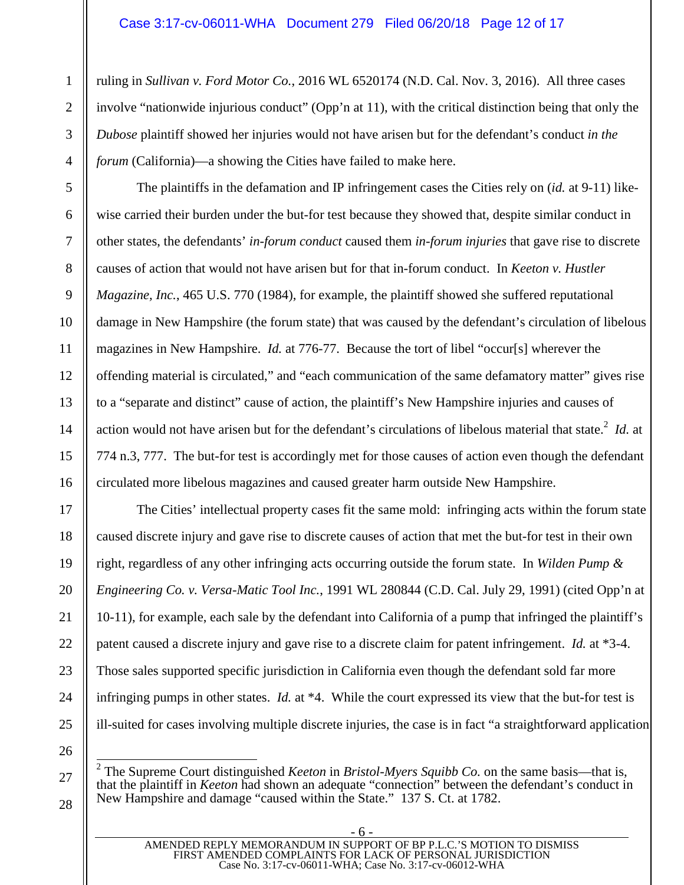<span id="page-11-3"></span><span id="page-11-1"></span>ruling in *Sullivan v. Ford Motor Co.*, 2016 WL 6520174 (N.D. Cal. Nov. 3, 2016). All three cases involve "nationwide injurious conduct" (Opp'n at 11), with the critical distinction being that only the *Dubose* plaintiff showed her injuries would not have arisen but for the defendant's conduct *in the forum* (California)—a showing the Cities have failed to make here.

<span id="page-11-2"></span>The plaintiffs in the defamation and IP infringement cases the Cities rely on (*id.* at 9-11) likewise carried their burden under the but-for test because they showed that, despite similar conduct in other states, the defendants' *in-forum conduct* caused them *in-forum injuries* that gave rise to discrete causes of action that would not have arisen but for that in-forum conduct. In *Keeton v. Hustler Magazine, Inc.*, 465 U.S. 770 (1984), for example, the plaintiff showed she suffered reputational damage in New Hampshire (the forum state) that was caused by the defendant's circulation of libelous magazines in New Hampshire. *Id.* at 776-77. Because the tort of libel "occur[s] wherever the offending material is circulated," and "each communication of the same defamatory matter" gives rise to a "separate and distinct" cause of action, the plaintiff's New Hampshire injuries and causes of action would not have arisen but for the defendant's circulations of libelous material that state.<sup>[2](#page-11-5)</sup> *Id.* at 774 n.3, 777. The but-for test is accordingly met for those causes of action even though the defendant circulated more libelous magazines and caused greater harm outside New Hampshire.

<span id="page-11-4"></span>The Cities' intellectual property cases fit the same mold: infringing acts within the forum state caused discrete injury and gave rise to discrete causes of action that met the but-for test in their own right, regardless of any other infringing acts occurring outside the forum state. In *Wilden Pump & Engineering Co. v. Versa-Matic Tool Inc.*, 1991 WL 280844 (C.D. Cal. July 29, 1991) (cited Opp'n at 10-11), for example, each sale by the defendant into California of a pump that infringed the plaintiff's patent caused a discrete injury and gave rise to a discrete claim for patent infringement. *Id.* at \*3-4. Those sales supported specific jurisdiction in California even though the defendant sold far more infringing pumps in other states. *Id.* at \*4. While the court expressed its view that the but-for test is ill-suited for cases involving multiple discrete injuries, the case is in fact "a straightforward application

26 27

28

1

 $\mathfrak{D}$ 

3

4

5

6

7

8

9

10

11

12

13

14

15

16

17

18

19

20

21

22

23

24

25

<span id="page-11-5"></span><span id="page-11-0"></span><sup>2</sup> The Supreme Court distinguished *Keeton* in *Bristol-Myers Squibb Co.* on the same basis—that is, that the plaintiff in *Keeton* had shown an adequate "connection" between the defendant's conduct in New Hampshire and damage "caused within the State." 137 S. Ct. at 1782.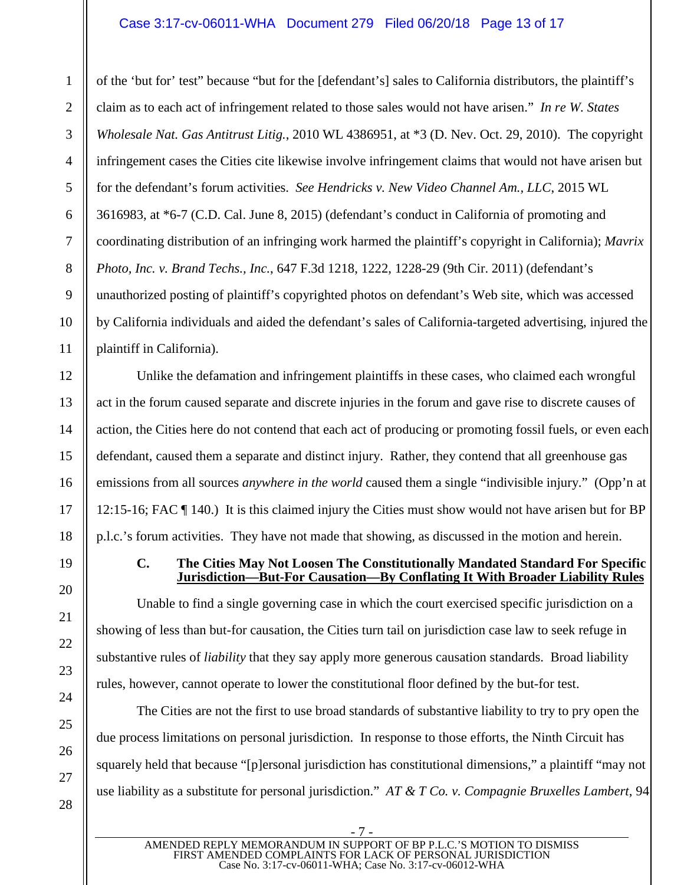#### <span id="page-12-4"></span><span id="page-12-3"></span>Case 3:17-cv-06011-WHA Document 279 Filed 06/20/18 Page 13 of 17

<span id="page-12-2"></span>of the 'but for' test" because "but for the [defendant's] sales to California distributors, the plaintiff's claim as to each act of infringement related to those sales would not have arisen." *In re W. States Wholesale Nat. Gas Antitrust Litig.*, 2010 WL 4386951, at \*3 (D. Nev. Oct. 29, 2010). The copyright infringement cases the Cities cite likewise involve infringement claims that would not have arisen but for the defendant's forum activities. *See Hendricks v. New Video Channel Am., LLC*, 2015 WL 3616983, at \*6-7 (C.D. Cal. June 8, 2015) (defendant's conduct in California of promoting and coordinating distribution of an infringing work harmed the plaintiff's copyright in California); *Mavrix Photo, Inc. v. Brand Techs., Inc.*, 647 F.3d 1218, 1222, 1228-29 (9th Cir. 2011) (defendant's unauthorized posting of plaintiff's copyrighted photos on defendant's Web site, which was accessed by California individuals and aided the defendant's sales of California-targeted advertising, injured the plaintiff in California).

Unlike the defamation and infringement plaintiffs in these cases, who claimed each wrongful act in the forum caused separate and discrete injuries in the forum and gave rise to discrete causes of action, the Cities here do not contend that each act of producing or promoting fossil fuels, or even each defendant, caused them a separate and distinct injury. Rather, they contend that all greenhouse gas emissions from all sources *anywhere in the world* caused them a single "indivisible injury." (Opp'n at 12:15-16; FAC ¶ 140.) It is this claimed injury the Cities must show would not have arisen but for BP p.l.c.'s forum activities. They have not made that showing, as discussed in the motion and herein.

#### <span id="page-12-0"></span>**C. The Cities May Not Loosen The Constitutionally Mandated Standard For Specific Jurisdiction—But-For Causation—By Conflating It With Broader Liability Rules**

Unable to find a single governing case in which the court exercised specific jurisdiction on a showing of less than but-for causation, the Cities turn tail on jurisdiction case law to seek refuge in substantive rules of *liability* that they say apply more generous causation standards. Broad liability rules, however, cannot operate to lower the constitutional floor defined by the but-for test.

<span id="page-12-1"></span>The Cities are not the first to use broad standards of substantive liability to try to pry open the due process limitations on personal jurisdiction. In response to those efforts, the Ninth Circuit has squarely held that because "[p]ersonal jurisdiction has constitutional dimensions," a plaintiff "may not use liability as a substitute for personal jurisdiction." *AT & T Co. v. Compagnie Bruxelles Lambert*, 94

1

 $\mathfrak{D}$ 

3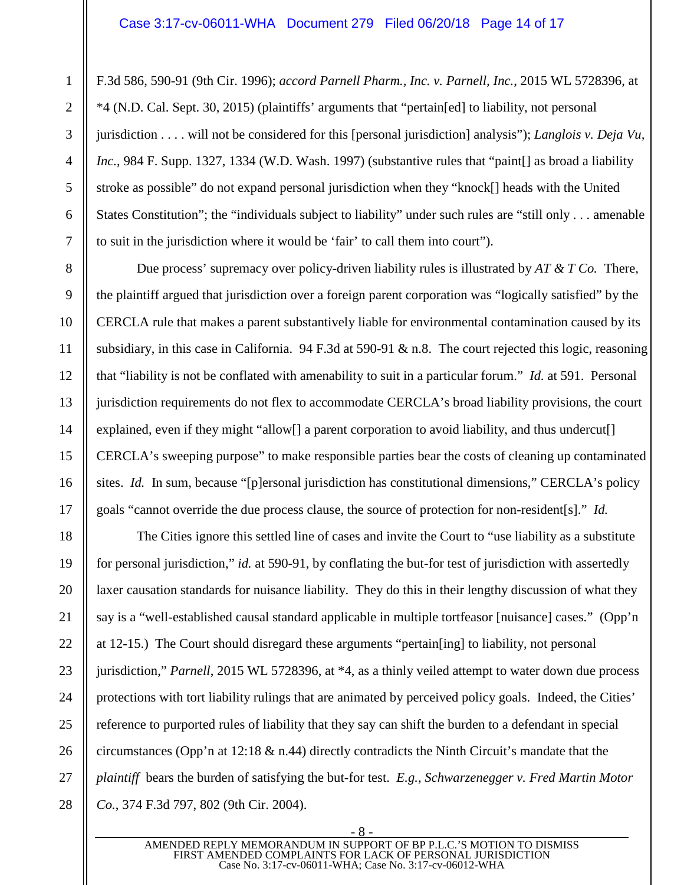<span id="page-13-2"></span><span id="page-13-1"></span>F.3d 586, 590-91 (9th Cir. 1996); *accord Parnell Pharm., Inc. v. Parnell, Inc.*, 2015 WL 5728396, at \*4 (N.D. Cal. Sept. 30, 2015) (plaintiffs' arguments that "pertain[ed] to liability, not personal jurisdiction . . . . will not be considered for this [personal jurisdiction] analysis"); *Langlois v. Deja Vu, Inc.*, 984 F. Supp. 1327, 1334 (W.D. Wash. 1997) (substantive rules that "paint as broad a liability stroke as possible" do not expand personal jurisdiction when they "knock[] heads with the United States Constitution"; the "individuals subject to liability" under such rules are "still only . . . amenable to suit in the jurisdiction where it would be 'fair' to call them into court").

<span id="page-13-0"></span>Due process' supremacy over policy-driven liability rules is illustrated by *AT & T Co.* There, the plaintiff argued that jurisdiction over a foreign parent corporation was "logically satisfied" by the CERCLA rule that makes a parent substantively liable for environmental contamination caused by its subsidiary, in this case in California. 94 F.3d at 590-91 & n.8. The court rejected this logic, reasoning that "liability is not be conflated with amenability to suit in a particular forum." *Id.* at 591. Personal jurisdiction requirements do not flex to accommodate CERCLA's broad liability provisions, the court explained, even if they might "allow<sup>[]</sup> a parent corporation to avoid liability, and thus undercut<sup>[]</sup> CERCLA's sweeping purpose" to make responsible parties bear the costs of cleaning up contaminated sites. *Id.* In sum, because "[p]ersonal jurisdiction has constitutional dimensions," CERCLA's policy goals "cannot override the due process clause, the source of protection for non-resident[s]." *Id.*

The Cities ignore this settled line of cases and invite the Court to "use liability as a substitute for personal jurisdiction," *id.* at 590-91, by conflating the but-for test of jurisdiction with assertedly laxer causation standards for nuisance liability. They do this in their lengthy discussion of what they say is a "well-established causal standard applicable in multiple tortfeasor [nuisance] cases." (Opp'n at 12-15.) The Court should disregard these arguments "pertain[ing] to liability, not personal jurisdiction," *Parnell*, 2015 WL 5728396, at \*4, as a thinly veiled attempt to water down due process protections with tort liability rulings that are animated by perceived policy goals. Indeed, the Cities' reference to purported rules of liability that they say can shift the burden to a defendant in special circumstances (Opp'n at 12:18 & n.44) directly contradicts the Ninth Circuit's mandate that the *plaintiff* bears the burden of satisfying the but-for test. *E.g.*, *Schwarzenegger v. Fred Martin Motor Co.*, 374 F.3d 797, 802 (9th Cir. 2004).

<span id="page-13-3"></span>- 8 - AMENDED REPLY MEMORANDUM IN SUPPORT OF BP P.L.C.'S MOTION TO DISMISS FIRST AMENDED COMPLAINTS FOR LACK OF PERSONAL JURISDICTION Case No. 3:17-cv-06011-WHA; Case No. 3:17-cv-06012-WHA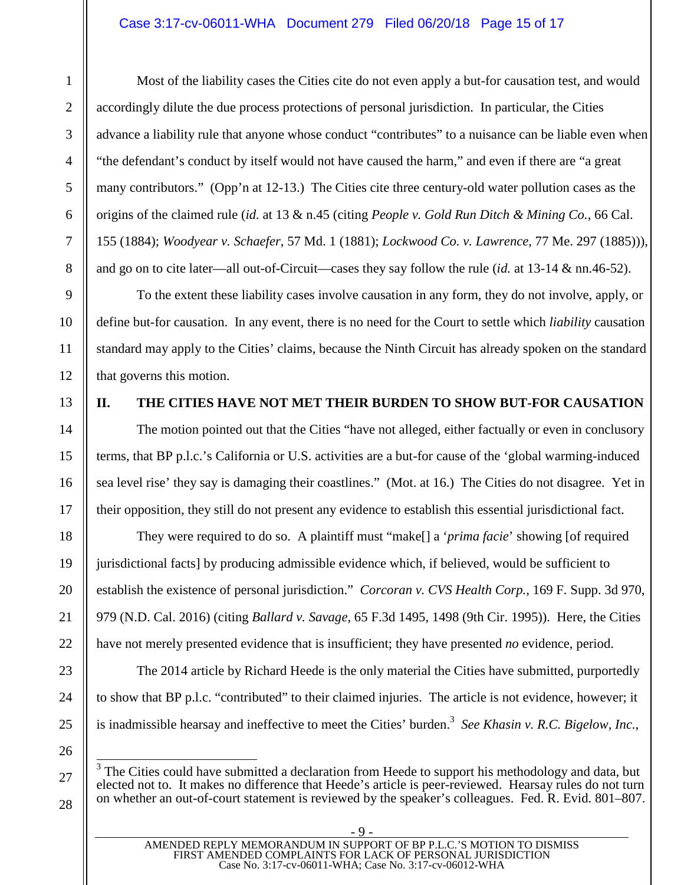#### Case 3:17-cv-06011-WHA Document 279 Filed 06/20/18 Page 15 of 17

Most of the liability cases the Cities cite do not even apply a but-for causation test, and would accordingly dilute the due process protections of personal jurisdiction. In particular, the Cities advance a liability rule that anyone whose conduct "contributes" to a nuisance can be liable even when "the defendant's conduct by itself would not have caused the harm," and even if there are "a great many contributors." (Opp'n at 12-13.) The Cities cite three century-old water pollution cases as the origins of the claimed rule (*id.* at 13 & n.45 (citing *People v. Gold Run Ditch & Mining Co.*, 66 Cal. 155 (1884); *Woodyear v. Schaefer*, 57 Md. 1 (1881); *Lockwood Co. v. Lawrence*, 77 Me. 297 (1885))), and go on to cite later—all out-of-Circuit—cases they say follow the rule (*id.* at 13-14 & nn.46-52).

<span id="page-14-6"></span><span id="page-14-5"></span><span id="page-14-4"></span>To the extent these liability cases involve causation in any form, they do not involve, apply, or define but-for causation. In any event, there is no need for the Court to settle which *liability* causation standard may apply to the Cities' claims, because the Ninth Circuit has already spoken on the standard that governs this motion.

## <span id="page-14-0"></span>**II. THE CITIES HAVE NOT MET THEIR BURDEN TO SHOW BUT-FOR CAUSATION**

The motion pointed out that the Cities "have not alleged, either factually or even in conclusory terms, that BP p.l.c.'s California or U.S. activities are a but-for cause of the 'global warming-induced sea level rise' they say is damaging their coastlines." (Mot. at 16.) The Cities do not disagree. Yet in their opposition, they still do not present any evidence to establish this essential jurisdictional fact.

<span id="page-14-2"></span>They were required to do so. A plaintiff must "make[] a '*prima facie*' showing [of required jurisdictional facts] by producing admissible evidence which, if believed, would be sufficient to establish the existence of personal jurisdiction." *Corcoran v. CVS Health Corp.*, 169 F. Supp. 3d 970, 979 (N.D. Cal. 2016) (citing *Ballard v. Savage*, 65 F.3d 1495, 1498 (9th Cir. 1995)). Here, the Cities have not merely presented evidence that is insufficient; they have presented *no* evidence, period.

<span id="page-14-1"></span>The 2014 article by Richard Heede is the only material the Cities have submitted, purportedly to show that BP p.l.c. "contributed" to their claimed injuries. The article is not evidence, however; it is inadmissible hearsay and ineffective to meet the Cities' burden.<sup>[3](#page-14-8)</sup> See Khasin v. R.C. Bigelow, Inc.,

<span id="page-14-7"></span><span id="page-14-3"></span>Case No. 3:17-cv-06011-WHA; Case No. 3:17-cv-06012-WHA

<span id="page-14-8"></span> $3$  The Cities could have submitted a declaration from Heede to support his methodology and data, but elected not to. It makes no difference that Heede's article is peer-reviewed. Hearsay rules do not turn on whether an out-of-court statement is reviewed by the speaker's colleagues. Fed. R. Evid. 801–807.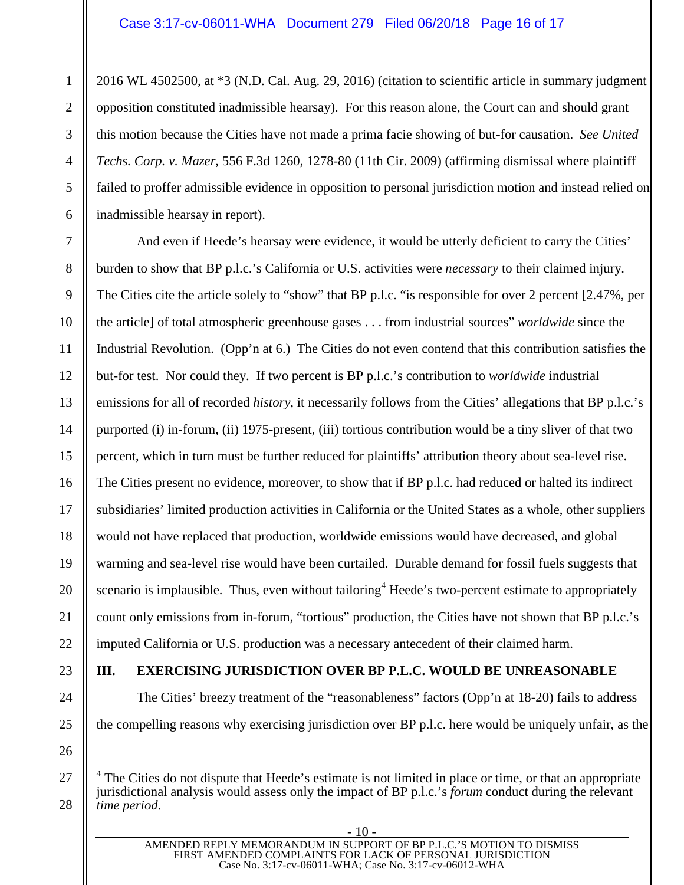<span id="page-15-1"></span>2016 WL 4502500, at \*3 (N.D. Cal. Aug. 29, 2016) (citation to scientific article in summary judgment opposition constituted inadmissible hearsay). For this reason alone, the Court can and should grant this motion because the Cities have not made a prima facie showing of but-for causation. *See United Techs. Corp. v. Mazer*, 556 F.3d 1260, 1278-80 (11th Cir. 2009) (affirming dismissal where plaintiff failed to proffer admissible evidence in opposition to personal jurisdiction motion and instead relied on inadmissible hearsay in report).

And even if Heede's hearsay were evidence, it would be utterly deficient to carry the Cities' burden to show that BP p.l.c.'s California or U.S. activities were *necessary* to their claimed injury. The Cities cite the article solely to "show" that BP p.l.c. "is responsible for over 2 percent [2.47%, per the article] of total atmospheric greenhouse gases . . . from industrial sources" *worldwide* since the Industrial Revolution. (Opp'n at 6.) The Cities do not even contend that this contribution satisfies the but-for test. Nor could they. If two percent is BP p.l.c.'s contribution to *worldwide* industrial emissions for all of recorded *history*, it necessarily follows from the Cities' allegations that BP p.l.c.'s purported (i) in-forum, (ii) 1975-present, (iii) tortious contribution would be a tiny sliver of that two percent, which in turn must be further reduced for plaintiffs' attribution theory about sea-level rise. The Cities present no evidence, moreover, to show that if BP p.l.c. had reduced or halted its indirect subsidiaries' limited production activities in California or the United States as a whole, other suppliers would not have replaced that production, worldwide emissions would have decreased, and global warming and sea-level rise would have been curtailed. Durable demand for fossil fuels suggests that scenariois implausible. Thus, even without tailoring<sup>4</sup> Heede's two-percent estimate to appropriately count only emissions from in-forum, "tortious" production, the Cities have not shown that BP p.l.c.'s imputed California or U.S. production was a necessary antecedent of their claimed harm.

### <span id="page-15-0"></span>**III. EXERCISING JURISDICTION OVER BP P.L.C. WOULD BE UNREASONABLE**

The Cities' breezy treatment of the "reasonableness" factors (Opp'n at 18-20) fails to address the compelling reasons why exercising jurisdiction over BP p.l.c. here would be uniquely unfair, as the

1

 $\mathfrak{D}$ 

<span id="page-15-2"></span><sup>&</sup>lt;sup>4</sup> The Cities do not dispute that Heede's estimate is not limited in place or time, or that an appropriate jurisdictional analysis would assess only the impact of BP p.l.c.'s *forum* conduct during the relevant *time period*.